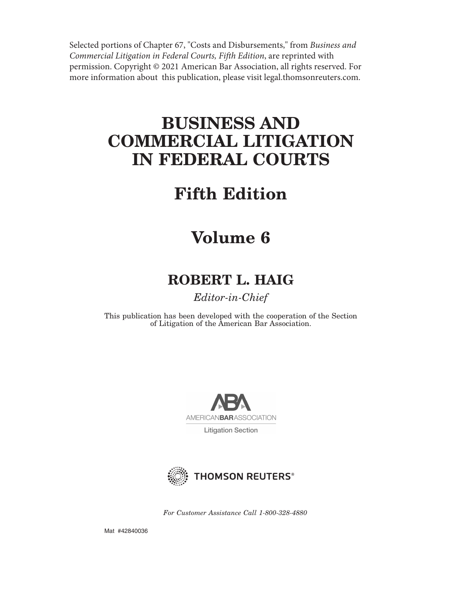Selected portions of Chapter 67, "Costs and Disbursements," from *Business and Commercial Litigation in Federal Courts, Fifth Edition*, are reprinted with permission. Copyright © 2021 American Bar Association, all rights reserved. For more information about this publication, please visit legal.thomsonreuters.com.

# **BUSINESS AND COMMERCIAL LITIGATION IN FEDERAL COURTS**

# **Fifth Edition**

# **Volume 6**

# **ROBERT L. HAIG**

# *Editor-in-Chief*

This publication has been developed with the cooperation of the Section of Litigation of the American Bar Association.



**Litigation Section** 



*For Customer Assistance Call 1-800-328-4880*

Mat #42840036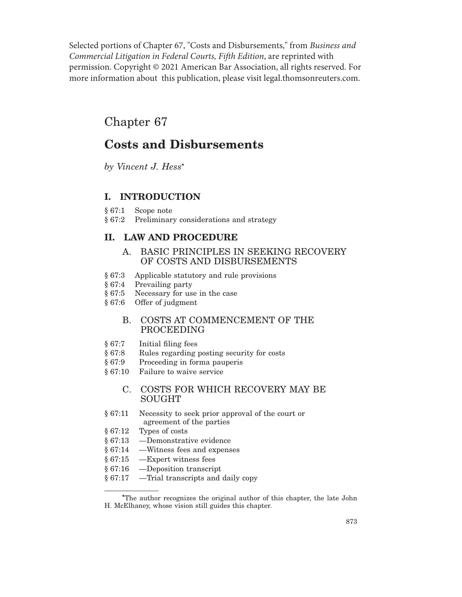Selected portions of Chapter 67, "Costs and Disbursements," from *Business and Commercial Litigation in Federal Courts, Fifth Edition*, are reprinted with permission. Copyright © 2021 American Bar Association, all rights reserved. For more information about this publication, please visit legal.thomsonreuters.com.

# Chapter 67

# **Costs and Disbursements**

*by Vincent J. Hess***\***

# **I. INTRODUCTION**

- § 67:1 Scope note
- § 67:2 Preliminary considerations and strategy

# **II. LAW AND PROCEDURE**

- A. BASIC PRINCIPLES IN SEEKING RECOVERY OF COSTS AND DISBURSEMENTS
- § 67:3 Applicable statutory and rule provisions
- § 67:4 Prevailing party
- § 67:5 Necessary for use in the case
- § 67:6 Offer of judgment

# B. COSTS AT COMMENCEMENT OF THE PROCEEDING

- § 67:7 Initial filing fees
- § 67:8 Rules regarding posting security for costs
- § 67:9 Proceeding in forma pauperis
- § 67:10 Failure to waive service

# C. COSTS FOR WHICH RECOVERY MAY BE SOUGHT

- § 67:11 Necessity to seek prior approval of the court or agreement of the parties
- § 67:12 Types of costs
- § 67:13 —Demonstrative evidence
- § 67:14 —Witness fees and expenses
- § 67:15 —Expert witness fees
- § 67:16 —Deposition transcript
- § 67:17 —Trial transcripts and daily copy

**<sup>\*</sup>**The author recognizes the original author of this chapter, the late John H. McElhaney, whose vision still guides this chapter.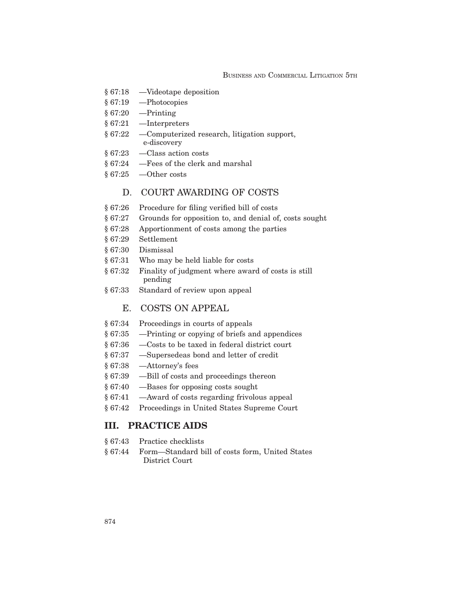#### BUSINESS AND COMMERCIAL LITIGATION 5TH

- § 67:18 —Videotape deposition
- § 67:19 —Photocopies
- § 67:20 —Printing
- § 67:21 —Interpreters
- § 67:22 —Computerized research, litigation support, e-discovery
- § 67:23 —Class action costs
- § 67:24 —Fees of the clerk and marshal
- § 67:25 —Other costs

## D. COURT AWARDING OF COSTS

- § 67:26 Procedure for filing verified bill of costs
- § 67:27 Grounds for opposition to, and denial of, costs sought
- § 67:28 Apportionment of costs among the parties
- § 67:29 Settlement
- § 67:30 Dismissal
- § 67:31 Who may be held liable for costs
- § 67:32 Finality of judgment where award of costs is still pending
- § 67:33 Standard of review upon appeal

# E. COSTS ON APPEAL

- § 67:34 Proceedings in courts of appeals
- § 67:35 —Printing or copying of briefs and appendices
- § 67:36 —Costs to be taxed in federal district court
- § 67:37 —Supersedeas bond and letter of credit
- § 67:38 —Attorney's fees
- § 67:39 —Bill of costs and proceedings thereon
- § 67:40 —Bases for opposing costs sought
- § 67:41 —Award of costs regarding frivolous appeal
- § 67:42 Proceedings in United States Supreme Court

## **III. PRACTICE AIDS**

- § 67:43 Practice checklists
- § 67:44 Form—Standard bill of costs form, United States District Court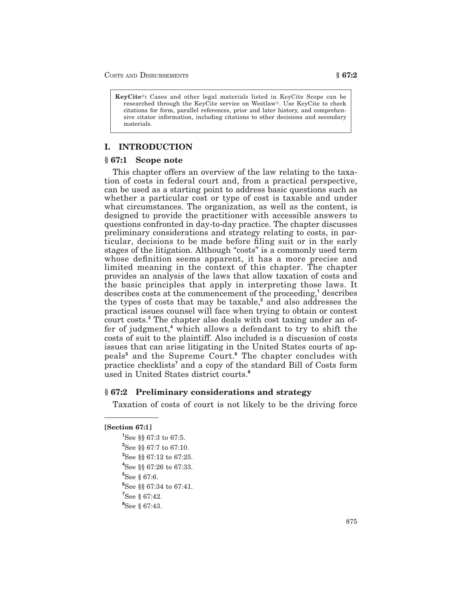**KeyCite<sup>®</sup>:** Cases and other legal materials listed in KeyCite Scope can be researched through the KeyCite service on Westlaw®. Use KeyCite to check citations for form, parallel references, prior and later history, and comprehensive citator information, including citations to other decisions and secondary materials.

## **I. INTRODUCTION**

#### **§ 67:1 Scope note**

This chapter offers an overview of the law relating to the taxation of costs in federal court and, from a practical perspective, can be used as a starting point to address basic questions such as whether a particular cost or type of cost is taxable and under what circumstances. The organization, as well as the content, is designed to provide the practitioner with accessible answers to questions confronted in day-to-day practice. The chapter discusses preliminary considerations and strategy relating to costs, in particular, decisions to be made before filing suit or in the early stages of the litigation. Although "costs" is a commonly used term whose definition seems apparent, it has a more precise and limited meaning in the context of this chapter. The chapter provides an analysis of the laws that allow taxation of costs and the basic principles that apply in interpreting those laws. It describes costs at the commencement of the proceeding,**<sup>1</sup>** describes the types of costs that may be taxable,**<sup>2</sup>** and also addresses the practical issues counsel will face when trying to obtain or contest court costs.**<sup>3</sup>** The chapter also deals with cost taxing under an offer of judgment,**<sup>4</sup>** which allows a defendant to try to shift the costs of suit to the plaintiff. Also included is a discussion of costs issues that can arise litigating in the United States courts of appeals**<sup>5</sup>** and the Supreme Court.**<sup>6</sup>** The chapter concludes with practice checklists**<sup>7</sup>** and a copy of the standard Bill of Costs form used in United States district courts.**<sup>8</sup>**

#### **§ 67:2 Preliminary considerations and strategy**

Taxation of costs of court is not likely to be the driving force

#### **[Section 67:1]**

 See §§ 67:3 to 67:5. See §§ 67:7 to 67:10. See §§ 67:12 to 67:25. See §§ 67:26 to 67:33. See § 67:6. See §§ 67:34 to 67:41. See § 67:42. See § 67:43.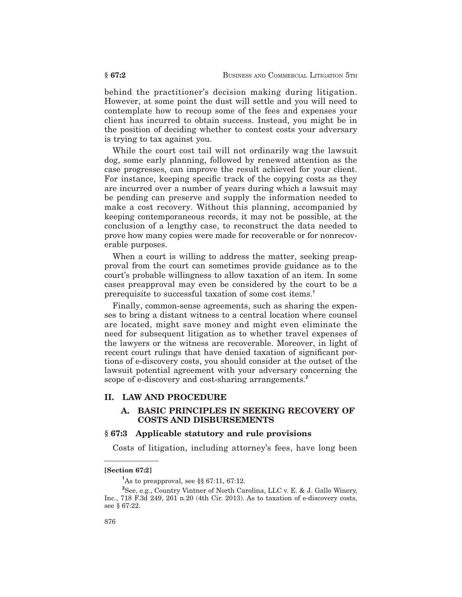behind the practitioner's decision making during litigation. However, at some point the dust will settle and you will need to contemplate how to recoup some of the fees and expenses your client has incurred to obtain success. Instead, you might be in the position of deciding whether to contest costs your adversary is trying to tax against you.

While the court cost tail will not ordinarily wag the lawsuit dog, some early planning, followed by renewed attention as the case progresses, can improve the result achieved for your client. For instance, keeping specific track of the copying costs as they are incurred over a number of years during which a lawsuit may be pending can preserve and supply the information needed to make a cost recovery. Without this planning, accompanied by keeping contemporaneous records, it may not be possible, at the conclusion of a lengthy case, to reconstruct the data needed to prove how many copies were made for recoverable or for nonrecoverable purposes.

When a court is willing to address the matter, seeking preapproval from the court can sometimes provide guidance as to the court's probable willingness to allow taxation of an item. In some cases preapproval may even be considered by the court to be a prerequisite to successful taxation of some cost items.**<sup>1</sup>**

Finally, common-sense agreements, such as sharing the expenses to bring a distant witness to a central location where counsel are located, might save money and might even eliminate the need for subsequent litigation as to whether travel expenses of the lawyers or the witness are recoverable. Moreover, in light of recent court rulings that have denied taxation of significant portions of e-discovery costs, you should consider at the outset of the lawsuit potential agreement with your adversary concerning the scope of e-discovery and cost-sharing arrangements.**<sup>2</sup>**

#### **II. LAW AND PROCEDURE**

## **A. BASIC PRINCIPLES IN SEEKING RECOVERY OF COSTS AND DISBURSEMENTS**

### **§ 67:3 Applicable statutory and rule provisions**

Costs of litigation, including attorney's fees, have long been

**<sup>[</sup>Section 67:2]**

**<sup>1</sup>** As to preapproval, see §§ 67:11, 67:12.

**<sup>2</sup>** See, e.g., Country Vintner of North Carolina, LLC v. E. & J. Gallo Winery, Inc., 718 F.3d 249, 261 n.20 (4th Cir. 2013). As to taxation of e-discovery costs, see § 67:22.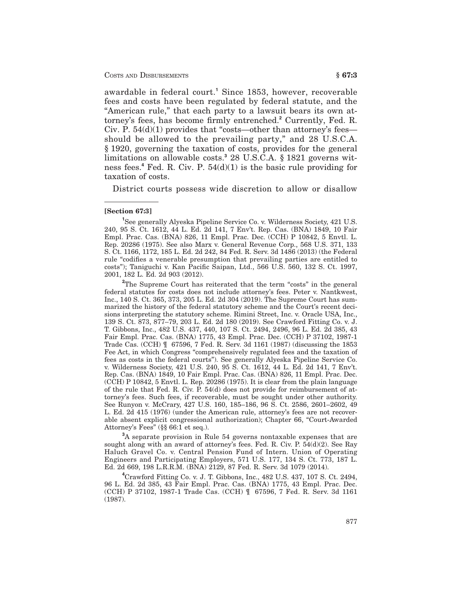awardable in federal court.**<sup>1</sup>** Since 1853, however, recoverable fees and costs have been regulated by federal statute, and the "American rule," that each party to a lawsuit bears its own attorney's fees, has become firmly entrenched.**<sup>2</sup>** Currently, Fed. R. Civ. P. 54(d)(1) provides that "costs—other than attorney's fees should be allowed to the prevailing party," and 28 U.S.C.A. § 1920, governing the taxation of costs, provides for the general limitations on allowable costs.**<sup>3</sup>** 28 U.S.C.A. § 1821 governs witness fees.**<sup>4</sup>** Fed. R. Civ. P. 54(d)(1) is the basic rule providing for taxation of costs.

District courts possess wide discretion to allow or disallow

#### **[Section 67:3]**

**1** See generally Alyeska Pipeline Service Co. v. Wilderness Society, 421 U.S. 240, 95 S. Ct. 1612, 44 L. Ed. 2d 141, 7 Env't. Rep. Cas. (BNA) 1849, 10 Fair Empl. Prac. Cas. (BNA) 826, 11 Empl. Prac. Dec. (CCH) P 10842, 5 Envtl. L. Rep. 20286 (1975). See also Marx v. General Revenue Corp., 568 U.S. 371, 133 S. Ct. 1166, 1172, 185 L. Ed. 2d 242, 84 Fed. R. Serv. 3d 1486 (2013) (the Federal rule "codifies a venerable presumption that prevailing parties are entitled to costs"); Taniguchi v. Kan Pacific Saipan, Ltd., 566 U.S. 560, 132 S. Ct. 1997, 2001, 182 L. Ed. 2d 903 (2012).

<sup>2</sup>The Supreme Court has reiterated that the term "costs" in the general federal statutes for costs does not include attorney's fees. Peter v. Nantkwest, Inc., 140 S. Ct. 365, 373, 205 L. Ed. 2d 304 (2019). The Supreme Court has summarized the history of the federal statutory scheme and the Court's recent decisions interpreting the statutory scheme. Rimini Street, Inc. v. Oracle USA, Inc., 139 S. Ct. 873, 877–79, 203 L. Ed. 2d 180 (2019). See Crawford Fitting Co. v. J. T. Gibbons, Inc., 482 U.S. 437, 440, 107 S. Ct. 2494, 2496, 96 L. Ed. 2d 385, 43 Fair Empl. Prac. Cas. (BNA) 1775, 43 Empl. Prac. Dec. (CCH) P 37102, 1987-1 Trade Cas. (CCH) ¶ 67596, 7 Fed. R. Serv. 3d 1161 (1987) (discussing the 1853 Fee Act, in which Congress "comprehensively regulated fees and the taxation of fees as costs in the federal courts"). See generally Alyeska Pipeline Service Co. v. Wilderness Society, 421 U.S. 240, 95 S. Ct. 1612, 44 L. Ed. 2d 141, 7 Env't. Rep. Cas. (BNA) 1849, 10 Fair Empl. Prac. Cas. (BNA) 826, 11 Empl. Prac. Dec. (CCH) P 10842, 5 Envtl. L. Rep. 20286 (1975). It is clear from the plain language of the rule that Fed. R. Civ. P. 54(d) does not provide for reimbursement of attorney's fees. Such fees, if recoverable, must be sought under other authority. See Runyon v. McCrary, 427 U.S. 160, 185–186, 96 S. Ct. 2586, 2601–2602, 49 L. Ed. 2d 415 (1976) (under the American rule, attorney's fees are not recoverable absent explicit congressional authorization); Chapter 66, "Court-Awarded Attorney's Fees" (§§ 66:1 et seq.).

**3** A separate provision in Rule 54 governs nontaxable expenses that are sought along with an award of attorney's fees. Fed. R. Civ. P. 54(d)(2). See Ray Haluch Gravel Co. v. Central Pension Fund of Intern. Union of Operating Engineers and Participating Employers, 571 U.S. 177, 134 S. Ct. 773, 187 L. Ed. 2d 669, 198 L.R.R.M. (BNA) 2129, 87 Fed. R. Serv. 3d 1079 (2014).

**4** Crawford Fitting Co. v. J. T. Gibbons, Inc., 482 U.S. 437, 107 S. Ct. 2494, 96 L. Ed. 2d 385, 43 Fair Empl. Prac. Cas. (BNA) 1775, 43 Empl. Prac. Dec. (CCH) P 37102, 1987-1 Trade Cas. (CCH) ¶ 67596, 7 Fed. R. Serv. 3d 1161 (1987).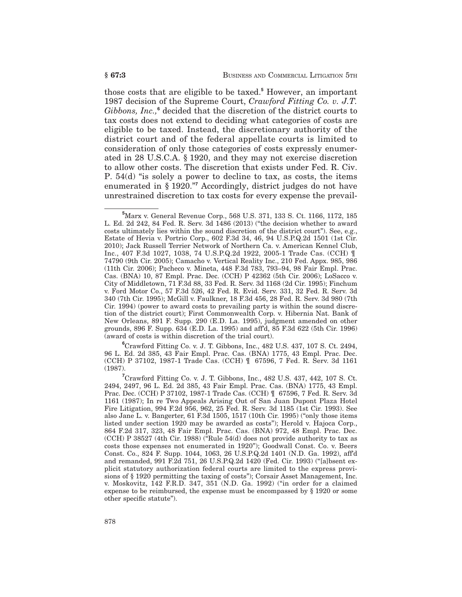those costs that are eligible to be taxed.**<sup>5</sup>** However, an important 1987 decision of the Supreme Court, *Crawford Fitting Co. v. J.T. Gibbons, Inc.,***<sup>6</sup>** decided that the discretion of the district courts to tax costs does not extend to deciding what categories of costs are eligible to be taxed. Instead, the discretionary authority of the district court and of the federal appellate courts is limited to consideration of only those categories of costs expressly enumerated in 28 U.S.C.A. § 1920, and they may not exercise discretion to allow other costs. The discretion that exists under Fed. R. Civ. P. 54(d) "is solely a power to decline to tax, as costs, the items enumerated in § 1920."**<sup>7</sup>** Accordingly, district judges do not have unrestrained discretion to tax costs for every expense the prevail-

**6** Crawford Fitting Co. v. J. T. Gibbons, Inc., 482 U.S. 437, 107 S. Ct. 2494, 96 L. Ed. 2d 385, 43 Fair Empl. Prac. Cas. (BNA) 1775, 43 Empl. Prac. Dec. (CCH) P 37102, 1987-1 Trade Cas. (CCH) ¶ 67596, 7 Fed. R. Serv. 3d 1161 (1987).

**<sup>5</sup>** Marx v. General Revenue Corp., 568 U.S. 371, 133 S. Ct. 1166, 1172, 185 L. Ed. 2d 242, 84 Fed. R. Serv. 3d 1486 (2013) ("the decision whether to award costs ultimately lies within the sound discretion of the district court"). See, e.g., Estate of Hevia v. Portrio Corp., 602 F.3d 34, 46, 94 U.S.P.Q.2d 1501 (1st Cir. 2010); Jack Russell Terrier Network of Northern Ca. v. American Kennel Club, Inc., 407 F.3d 1027, 1038, 74 U.S.P.Q.2d 1922, 2005-1 Trade Cas. (CCH) ¶ 74790 (9th Cir. 2005); Camacho v. Vertical Reality Inc., 210 Fed. Appx. 985, 986 (11th Cir. 2006); Pacheco v. Mineta, 448 F.3d 783, 793–94, 98 Fair Empl. Prac. Cas. (BNA) 10, 87 Empl. Prac. Dec. (CCH) P 42362 (5th Cir. 2006); LoSacco v. City of Middletown, 71 F.3d 88, 33 Fed. R. Serv. 3d 1168 (2d Cir. 1995); Finchum v. Ford Motor Co., 57 F.3d 526, 42 Fed. R. Evid. Serv. 331, 32 Fed. R. Serv. 3d 340 (7th Cir. 1995); McGill v. Faulkner, 18 F.3d 456, 28 Fed. R. Serv. 3d 980 (7th Cir. 1994) (power to award costs to prevailing party is within the sound discretion of the district court); First Commonwealth Corp. v. Hibernia Nat. Bank of New Orleans, 891 F. Supp. 290 (E.D. La. 1995), judgment amended on other grounds, 896 F. Supp. 634 (E.D. La. 1995) and aff'd, 85 F.3d 622 (5th Cir. 1996) (award of costs is within discretion of the trial court).

**<sup>7</sup>** Crawford Fitting Co. v. J. T. Gibbons, Inc., 482 U.S. 437, 442, 107 S. Ct. 2494, 2497, 96 L. Ed. 2d 385, 43 Fair Empl. Prac. Cas. (BNA) 1775, 43 Empl. Prac. Dec. (CCH) P 37102, 1987-1 Trade Cas. (CCH) ¶ 67596, 7 Fed. R. Serv. 3d 1161 (1987); In re Two Appeals Arising Out of San Juan Dupont Plaza Hotel Fire Litigation, 994 F.2d 956, 962, 25 Fed. R. Serv. 3d 1185 (1st Cir. 1993). See also Jane L. v. Bangerter, 61 F.3d 1505, 1517 (10th Cir. 1995) ("only those items listed under section 1920 may be awarded as costs"); Herold v. Hajoca Corp., 864 F.2d 317, 323, 48 Fair Empl. Prac. Cas. (BNA) 972, 48 Empl. Prac. Dec. (CCH) P 38527 (4th Cir. 1988) ("Rule 54(d) does not provide authority to tax as costs those expenses not enumerated in 1920"); Goodwall Const. Co. v. Beers Const. Co., 824 F. Supp. 1044, 1063, 26 U.S.P.Q.2d 1401 (N.D. Ga. 1992), aff'd and remanded, 991 F.2d 751, 26 U.S.P.Q.2d 1420 (Fed. Cir. 1993) ("[a]bsent explicit statutory authorization federal courts are limited to the express provisions of § 1920 permitting the taxing of costs"); Corsair Asset Management, Inc. v. Moskovitz, 142 F.R.D. 347, 351 (N.D. Ga. 1992) ("in order for a claimed expense to be reimbursed, the expense must be encompassed by § 1920 or some other specific statute").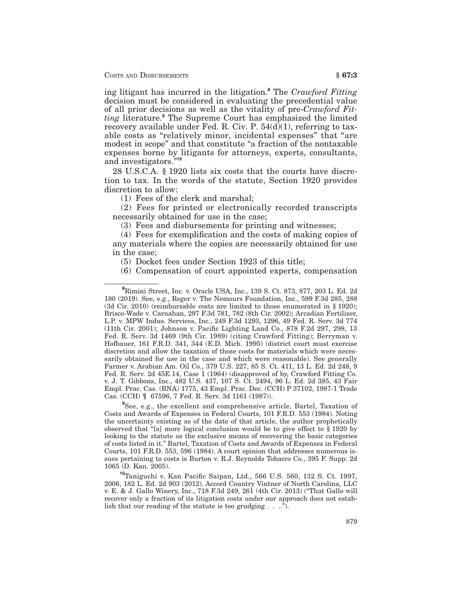ing litigant has incurred in the litigation.**<sup>8</sup>** The *Crawford Fitting* decision must be considered in evaluating the precedential value of all prior decisions as well as the vitality of pre-*Crawford Fitting* literature.**<sup>9</sup>** The Supreme Court has emphasized the limited recovery available under Fed. R. Civ. P.  $54(d)(1)$ , referring to taxable costs as "relatively minor, incidental expenses" that "are modest in scope" and that constitute "a fraction of the nontaxable expenses borne by litigants for attorneys, experts, consultants, and investigators."**<sup>10</sup>**

28 U.S.C.A. § 1920 lists six costs that the courts have discretion to tax. In the words of the statute, Section 1920 provides discretion to allow:

(1) Fees of the clerk and marshal;

(2) Fees for printed or electronically recorded transcripts necessarily obtained for use in the case;

(3) Fees and disbursements for printing and witnesses;

(4) Fees for exemplification and the costs of making copies of any materials where the copies are necessarily obtained for use in the case;

(5) Docket fees under Section 1923 of this title;

(6) Compensation of court appointed experts, compensation

**9** See, e.g., the excellent and comprehensive article, Bartel, Taxation of Costs and Awards of Expenses in Federal Courts, 101 F.R.D. 553 (1984). Noting the uncertainty existing as of the date of that article, the author prophetically observed that "[a] more logical conclusion would be to give effect to § 1920 by looking to the statute as the exclusive means of recovering the basic categories of costs listed in it." Bartel, Taxation of Costs and Awards of Expenses in Federal Courts, 101 F.R.D. 553, 596 (1984). A court opinion that addresses numerous issues pertaining to costs is Burton v. R.J. Reynolds Tobacco Co., 395 F. Supp. 2d 1065 (D. Kan. 2005).

**<sup>10</sup>**Taniguchi v. Kan Pacific Saipan, Ltd., 566 U.S. 560, 132 S. Ct. 1997, 2006, 182 L. Ed. 2d 903 (2012). Accord Country Vintner of North Carolina, LLC v. E. & J. Gallo Winery, Inc., 718 F.3d 249, 261 (4th Cir. 2013) ("That Gallo will recover only a fraction of its litigation costs under our approach does not establish that our reading of the statute is too grudging . . ..").

**<sup>8</sup>** Rimini Street, Inc. v. Oracle USA, Inc., 139 S. Ct. 873, 877, 203 L. Ed. 2d 180 (2019). See, e.g., Reger v. The Nemours Foundation, Inc., 599 F.3d 285, 288 (3d Cir. 2010) (reimbursable costs are limited to those enumerated in § 1920); Brisco-Wade v. Carnahan, 297 F.3d 781, 782 (8th Cir. 2002); Arcadian Fertilizer, L.P. v. MPW Indus. Services, Inc., 249 F.3d 1293, 1296, 49 Fed. R. Serv. 3d 774 (11th Cir. 2001); Johnson v. Pacific Lighting Land Co., 878 F.2d 297, 298, 13 Fed. R. Serv. 3d 1469 (9th Cir. 1989) (citing Crawford Fitting); Berryman v. Hofbauer, 161 F.R.D. 341, 344 (E.D. Mich. 1995) (district court must exercise discretion and allow the taxation of those costs for materials which were necessarily obtained for use in the case and which were reasonable). See generally Farmer v. Arabian Am. Oil Co., 379 U.S. 227, 85 S. Ct. 411, 13 L. Ed. 2d 248, 9 Fed. R. Serv. 2d 45E.14, Case 1 (1964) (disapproved of by, Crawford Fitting Co. v. J. T. Gibbons, Inc., 482 U.S. 437, 107 S. Ct. 2494, 96 L. Ed. 2d 385, 43 Fair Empl. Prac. Cas. (BNA) 1775, 43 Empl. Prac. Dec. (CCH) P 37102, 1987-1 Trade Cas. (CCH) ¶ 67596, 7 Fed. R. Serv. 3d 1161 (1987)).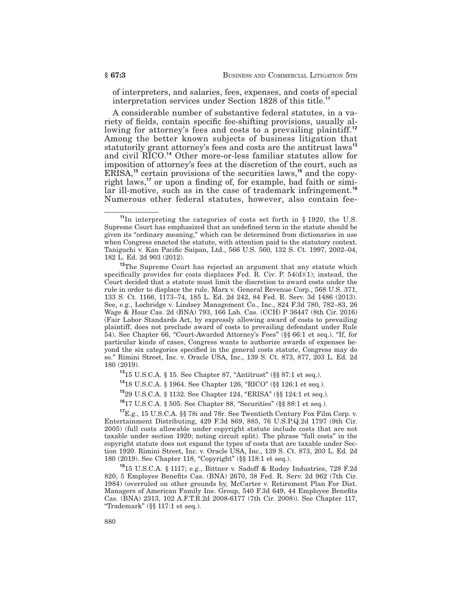of interpreters, and salaries, fees, expenses, and costs of special interpretation services under Section 1828 of this title.**<sup>11</sup>**

A considerable number of substantive federal statutes, in a variety of fields, contain specific fee-shifting provisions, usually allowing for attorney's fees and costs to a prevailing plaintiff.**<sup>12</sup>** Among the better known subjects of business litigation that statutorily grant attorney's fees and costs are the antitrust laws**<sup>13</sup>** and civil RICO.**<sup>14</sup>** Other more-or-less familiar statutes allow for imposition of attorney's fees at the discretion of the court, such as ERISA,**<sup>15</sup>** certain provisions of the securities laws,**<sup>16</sup>** and the copyright laws,**<sup>17</sup>** or upon a finding of, for example, bad faith or similar ill-motive, such as in the case of trademark infringement.<sup>18</sup> Numerous other federal statutes, however, also contain fee-

**<sup>13</sup>**15 U.S.C.A. § 15. See Chapter 87, "Antitrust" (§§ 87:1 et seq.).

**<sup>14</sup>**18 U.S.C.A. § 1964. See Chapter 126, "RICO" (§§ 126:1 et seq.).

**<sup>15</sup>**29 U.S.C.A. § 1132. See Chapter 124, "ERISA" (§§ 124:1 et seq.).

**<sup>16</sup>**17 U.S.C.A. § 505. See Chapter 88, "Securities" (§§ 88:1 et seq.).

**<sup>17</sup>**E.g., 15 U.S.C.A. §§ 78i and 78r. See Twentieth Century Fox Film Corp. v. Entertainment Distributing, 429 F.3d 869, 885, 76 U.S.P.Q.2d 1797 (9th Cir. 2005) (full costs allowable under copyright statute include costs that are not taxable under section 1920; noting circuit split). The phrase "full costs" in the copyright statute does not expand the types of costs that are taxable under Section 1920. Rimini Street, Inc. v. Oracle USA, Inc., 139 S. Ct. 873, 203 L. Ed. 2d 180 (2019). See Chapter 118, "Copyright" (§§ 118:1 et seq.).

**<sup>18</sup>**15 U.S.C.A. § 1117; e.g., Bittner v. Sadoff & Rudoy Industries, 728 F.2d 820, 5 Employee Benefits Cas. (BNA) 2670, 38 Fed. R. Serv. 2d 962 (7th Cir. 1984) (overruled on other grounds by, McCarter v. Retirement Plan For Dist. Managers of American Family Ins. Group, 540 F.3d 649, 44 Employee Benefits Cas. (BNA) 2313, 102 A.F.T.R.2d 2008-6177 (7th Cir. 2008)). See Chapter 117, "Trademark" (§§ 117:1 et seq.).

**<sup>11</sup>**In interpreting the categories of costs set forth in § 1920, the U.S. Supreme Court has emphasized that an undefined term in the statute should be given its "ordinary meaning," which can be determined from dictionaries in use when Congress enacted the statute, with attention paid to the statutory context. Taniguchi v. Kan Pacific Saipan, Ltd., 566 U.S. 560, 132 S. Ct. 1997, 2002–04, 182 L. Ed. 2d 903 (2012).

<sup>&</sup>lt;sup>12</sup>The Supreme Court has rejected an argument that any statute which specifically provides for costs displaces Fed. R. Civ. P.  $54(d)(1)$ ; instead, the Court decided that a statute must limit the discretion to award costs under the rule in order to displace the rule. Marx v. General Revenue Corp., 568 U.S. 371, 133 S. Ct. 1166, 1173–74, 185 L. Ed. 2d 242, 84 Fed. R. Serv. 3d 1486 (2013). See, e.g., Lochridge v. Lindsey Management Co., Inc., 824 F.3d 780, 782–83, 26 Wage & Hour Cas. 2d (BNA) 793, 166 Lab. Cas. (CCH) P 36447 (8th Cir. 2016) (Fair Labor Standards Act, by expressly allowing award of costs to prevailing plaintiff, does not preclude award of costs to prevailing defendant under Rule 54). See Chapter 66, "Court-Awarded Attorney's Fees" (§§ 66:1 et seq.). "If, for particular kinds of cases, Congress wants to authorize awards of expenses beyond the six categories specified in the general costs statute, Congress may do so." Rimini Street, Inc. v. Oracle USA, Inc., 139 S. Ct. 873, 877, 203 L. Ed. 2d 180 (2019).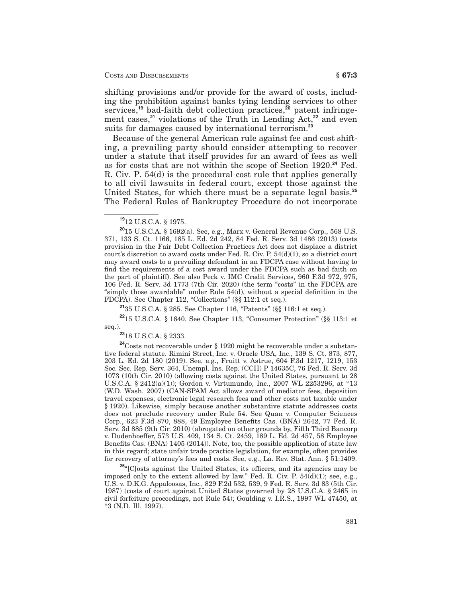shifting provisions and/or provide for the award of costs, including the prohibition against banks tying lending services to other services,**<sup>19</sup>** bad-faith debt collection practices,**<sup>20</sup>** patent infringement cases,**<sup>21</sup>** violations of the Truth in Lending Act,**<sup>22</sup>** and even suits for damages caused by international terrorism.**<sup>23</sup>**

Because of the general American rule against fee and cost shifting, a prevailing party should consider attempting to recover under a statute that itself provides for an award of fees as well as for costs that are not within the scope of Section 1920.**<sup>24</sup>** Fed. R. Civ. P. 54(d) is the procedural cost rule that applies generally to all civil lawsuits in federal court, except those against the United States, for which there must be a separate legal basis.**<sup>25</sup>** The Federal Rules of Bankruptcy Procedure do not incorporate

**<sup>21</sup>**35 U.S.C.A. § 285. See Chapter 116, "Patents" (§§ 116:1 et seq.).

**<sup>22</sup>**15 U.S.C.A. § 1640. See Chapter 113, "Consumer Protection" (§§ 113:1 et seq.).

**<sup>23</sup>**18 U.S.C.A. § 2333.

**<sup>24</sup>**Costs not recoverable under § 1920 might be recoverable under a substantive federal statute. Rimini Street, Inc. v. Oracle USA, Inc., 139 S. Ct. 873, 877, 203 L. Ed. 2d 180 (2019). See, e.g., Fruitt v. Astrue, 604 F.3d 1217, 1219, 153 Soc. Sec. Rep. Serv. 364, Unempl. Ins. Rep. (CCH) P 14635C, 76 Fed. R. Serv. 3d 1073 (10th Cir. 2010) (allowing costs against the United States, pursuant to 28 U.S.C.A. § 2412(a)(1)); Gordon v. Virtumundo, Inc., 2007 WL 2253296, at \*13 (W.D. Wash. 2007) (CAN-SPAM Act allows award of mediator fees, deposition travel expenses, electronic legal research fees and other costs not taxable under § 1920). Likewise, simply because another substantive statute addresses costs does not preclude recovery under Rule 54. See Quan v. Computer Sciences Corp., 623 F.3d 870, 888, 49 Employee Benefits Cas. (BNA) 2642, 77 Fed. R. Serv. 3d 885 (9th Cir. 2010) (abrogated on other grounds by, Fifth Third Bancorp v. Dudenhoeffer, 573 U.S. 409, 134 S. Ct. 2459, 189 L. Ed. 2d 457, 58 Employee Benefits Cas. (BNA) 1405 (2014)). Note, too, the possible application of state law in this regard; state unfair trade practice legislation, for example, often provides for recovery of attorney's fees and costs. See, e.g., La. Rev. Stat. Ann. § 51:1409.

**<sup>25</sup>**"[C]osts against the United States, its officers, and its agencies may be imposed only to the extent allowed by law." Fed. R. Civ. P.  $54(d)(1)$ ; see, e.g., U.S. v. D.K.G. Appaloosas, Inc., 829 F.2d 532, 539, 9 Fed. R. Serv. 3d 83 (5th Cir. 1987) (costs of court against United States governed by 28 U.S.C.A. § 2465 in civil forfeiture proceedings, not Rule 54); Goulding v. I.R.S., 1997 WL 47450, at \*3 (N.D. Ill. 1997).

**<sup>19</sup>**12 U.S.C.A. § 1975.

**<sup>20</sup>**15 U.S.C.A. § 1692(a). See, e.g., Marx v. General Revenue Corp., 568 U.S. 371, 133 S. Ct. 1166, 185 L. Ed. 2d 242, 84 Fed. R. Serv. 3d 1486 (2013) (costs provision in the Fair Debt Collection Practices Act does not displace a district court's discretion to award costs under Fed. R. Civ. P.  $54(d)(1)$ , so a district court may award costs to a prevailing defendant in an FDCPA case without having to find the requirements of a cost award under the FDCPA such as bad faith on the part of plaintiff). See also Peck v. IMC Credit Services, 960 F.3d 972, 975, 106 Fed. R. Serv. 3d 1773 (7th Cir. 2020) (the term "costs" in the FDCPA are "simply those awardable" under Rule 54(d), without a special definition in the FDCPA). See Chapter 112, "Collections" (§§ 112:1 et seq.).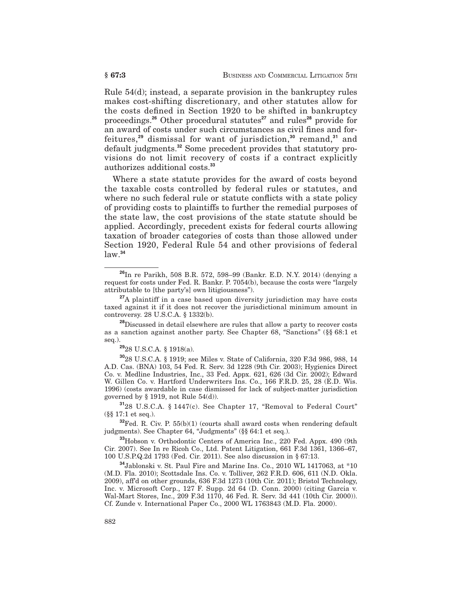Rule 54(d); instead, a separate provision in the bankruptcy rules makes cost-shifting discretionary, and other statutes allow for the costs defined in Section 1920 to be shifted in bankruptcy proceedings.**<sup>26</sup>** Other procedural statutes**<sup>27</sup>** and rules**<sup>28</sup>** provide for an award of costs under such circumstances as civil fines and forfeitures,**<sup>29</sup>** dismissal for want of jurisdiction,**<sup>30</sup>** remand,**<sup>31</sup>** and default judgments.**<sup>32</sup>** Some precedent provides that statutory provisions do not limit recovery of costs if a contract explicitly authorizes additional costs.**<sup>33</sup>**

Where a state statute provides for the award of costs beyond the taxable costs controlled by federal rules or statutes, and where no such federal rule or statute conflicts with a state policy of providing costs to plaintiffs to further the remedial purposes of the state law, the cost provisions of the state statute should be applied. Accordingly, precedent exists for federal courts allowing taxation of broader categories of costs than those allowed under Section 1920, Federal Rule 54 and other provisions of federal law.**<sup>34</sup>**

**<sup>28</sup>**Discussed in detail elsewhere are rules that allow a party to recover costs as a sanction against another party. See Chapter 68, "Sanctions" (§§ 68:1 et seq.).

**<sup>29</sup>**28 U.S.C.A. § 1918(a).

**<sup>30</sup>**28 U.S.C.A. § 1919; see Miles v. State of California, 320 F.3d 986, 988, 14 A.D. Cas. (BNA) 103, 54 Fed. R. Serv. 3d 1228 (9th Cir. 2003); Hygienics Direct Co. v. Medline Industries, Inc., 33 Fed. Appx. 621, 626 (3d Cir. 2002); Edward W. Gillen Co. v. Hartford Underwriters Ins. Co., 166 F.R.D. 25, 28 (E.D. Wis. 1996) (costs awardable in case dismissed for lack of subject-matter jurisdiction governed by  $\S$  1919, not Rule 54(d)).

**<sup>31</sup>**28 U.S.C.A. § 1447(c). See Chapter 17, "Removal to Federal Court" (§§ 17:1 et seq.).

**<sup>32</sup>**Fed. R. Civ. P. 55(b)(1) (courts shall award costs when rendering default judgments). See Chapter 64, "Judgments" (§§ 64:1 et seq.).

**<sup>33</sup>**Hobson v. Orthodontic Centers of America Inc., 220 Fed. Appx. 490 (9th Cir. 2007). See In re Ricoh Co., Ltd. Patent Litigation, 661 F.3d 1361, 1366–67, 100 U.S.P.Q.2d 1793 (Fed. Cir. 2011). See also discussion in § 67:13.

**<sup>34</sup>**Jablonski v. St. Paul Fire and Marine Ins. Co., 2010 WL 1417063, at \*10 (M.D. Fla. 2010); Scottsdale Ins. Co. v. Tolliver, 262 F.R.D. 606, 611 (N.D. Okla. 2009), aff'd on other grounds, 636 F.3d 1273 (10th Cir. 2011); Bristol Technology, Inc. v. Microsoft Corp., 127 F. Supp. 2d 64 (D. Conn. 2000) (citing Garcia v. Wal-Mart Stores, Inc., 209 F.3d 1170, 46 Fed. R. Serv. 3d 441 (10th Cir. 2000)). Cf. Zunde v. International Paper Co., 2000 WL 1763843 (M.D. Fla. 2000).

**<sup>26</sup>**In re Parikh, 508 B.R. 572, 598–99 (Bankr. E.D. N.Y. 2014) (denying a request for costs under Fed. R. Bankr. P. 7054(b), because the costs were "largely attributable to [the party's] own litigiousness").

**<sup>27</sup>**A plaintiff in a case based upon diversity jurisdiction may have costs taxed against it if it does not recover the jurisdictional minimum amount in controversy. 28 U.S.C.A. § 1332(b).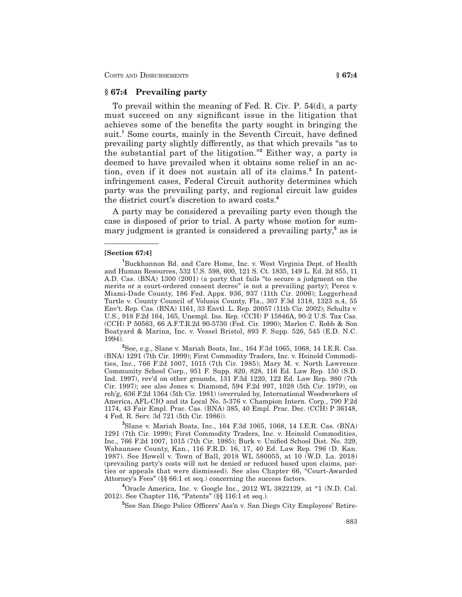## **§ 67:4 Prevailing party**

To prevail within the meaning of Fed. R. Civ. P. 54(d), a party must succeed on any significant issue in the litigation that achieves some of the benefits the party sought in bringing the suit.**<sup>1</sup>** Some courts, mainly in the Seventh Circuit, have defined prevailing party slightly differently, as that which prevails "as to the substantial part of the litigation."**<sup>2</sup>** Either way, a party is deemed to have prevailed when it obtains some relief in an action, even if it does not sustain all of its claims.**<sup>3</sup>** In patentinfringement cases, Federal Circuit authority determines which party was the prevailing party, and regional circuit law guides the district court's discretion to award costs.**<sup>4</sup>**

A party may be considered a prevailing party even though the case is disposed of prior to trial. A party whose motion for summary judgment is granted is considered a prevailing party,**<sup>5</sup>** as is

#### **[Section 67:4]**

**2** See, e.g., Slane v. Mariah Boats, Inc., 164 F.3d 1065, 1068, 14 I.E.R. Cas. (BNA) 1291 (7th Cir. 1999); First Commodity Traders, Inc. v. Heinold Commodities, Inc., 766 F.2d 1007, 1015 (7th Cir. 1985); Mary M. v. North Lawrence Community School Corp., 951 F. Supp. 820, 828, 116 Ed. Law Rep. 150 (S.D. Ind. 1997), rev'd on other grounds, 131 F.3d 1220, 122 Ed. Law Rep. 980 (7th Cir. 1997); see also Jones v. Diamond, 594 F.2d 997, 1028 (5th Cir. 1979), on reh'g, 636 F.2d 1364 (5th Cir. 1981) (overruled by, International Woodworkers of America, AFL-CIO and its Local No. 5-376 v. Champion Intern. Corp., 790 F.2d 1174, 43 Fair Empl. Prac. Cas. (BNA) 385, 40 Empl. Prac. Dec. (CCH) P 36148, 4 Fed. R. Serv. 3d 721 (5th Cir. 1986)).

**3** Slane v. Mariah Boats, Inc., 164 F.3d 1065, 1068, 14 I.E.R. Cas. (BNA) 1291 (7th Cir. 1999); First Commodity Traders, Inc. v. Heinold Commodities, Inc., 766 F.2d 1007, 1015 (7th Cir. 1985); Burk v. Unified School Dist. No. 329, Wabaunsee County, Kan., 116 F.R.D. 16, 17, 40 Ed. Law Rep. 796 (D. Kan. 1987). See Howell v. Town of Ball, 2018 WL 580055, at 10 (W.D. La. 2018) (prevailing party's costs will not be denied or reduced based upon claims, parties or appeals that were dismissed). See also Chapter 66, "Court-Awarded Attorney's Fees" (§§ 66:1 et seq.) concerning the success factors.

**4** Oracle America, Inc. v. Google Inc., 2012 WL 3822129, at \*1 (N.D. Cal. 2012). See Chapter 116, "Patents" (§§ 116:1 et seq.).

**5** See San Diego Police Officers' Ass'n v. San Diego City Employees' Retire-

**<sup>1</sup>** Buckhannon Bd. and Care Home, Inc. v. West Virginia Dept. of Health and Human Resources, 532 U.S. 598, 600, 121 S. Ct. 1835, 149 L. Ed. 2d 855, 11 A.D. Cas. (BNA) 1300 (2001) (a party that fails "to secure a judgment on the merits or a court-ordered consent decree" is not a prevailing party); Perez v. Miami-Dade County, 186 Fed. Appx. 936, 937 (11th Cir. 2006); Loggerhead Turtle v. County Council of Volusia County, Fla., 307 F.3d 1318, 1323 n.4, 55 Env't. Rep. Cas. (BNA) 1161, 33 Envtl. L. Rep. 20057 (11th Cir. 2002); Schultz v. U.S., 918 F.2d 164, 165, Unempl. Ins. Rep. (CCH) P 15846A, 90-2 U.S. Tax Cas. (CCH) P 50563, 66 A.F.T.R.2d 90-5730 (Fed. Cir. 1990); Marlen C. Robb & Son Boatyard & Marina, Inc. v. Vessel Bristol, 893 F. Supp. 526, 545 (E.D. N.C. 1994).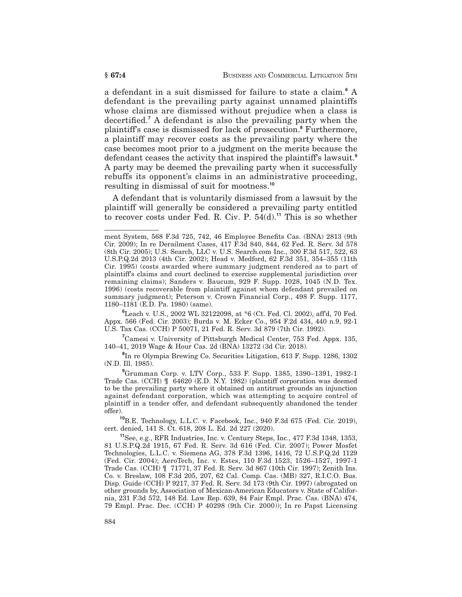a defendant in a suit dismissed for failure to state a claim.**<sup>6</sup>** A defendant is the prevailing party against unnamed plaintiffs whose claims are dismissed without prejudice when a class is decertified.**<sup>7</sup>** A defendant is also the prevailing party when the plaintiff's case is dismissed for lack of prosecution.**<sup>8</sup>** Furthermore, a plaintiff may recover costs as the prevailing party where the case becomes moot prior to a judgment on the merits because the defendant ceases the activity that inspired the plaintiff's lawsuit.**<sup>9</sup>** A party may be deemed the prevailing party when it successfully rebuffs its opponent's claims in an administrative proceeding, resulting in dismissal of suit for mootness.**<sup>10</sup>**

A defendant that is voluntarily dismissed from a lawsuit by the plaintiff will generally be considered a prevailing party entitled to recover costs under Fed. R. Civ. P. 54(d).**<sup>11</sup>** This is so whether

**6** Leach v. U.S., 2002 WL 32122098, at \*6 (Ct. Fed. Cl. 2002), aff'd, 70 Fed. Appx. 566 (Fed. Cir. 2003); Burda v. M. Ecker Co., 954 F.2d 434, 440 n.9, 92-1 U.S. Tax Cas. (CCH) P 50071, 21 Fed. R. Serv. 3d 879 (7th Cir. 1992).

**7** Camesi v. University of Pittsburgh Medical Center, 753 Fed. Appx. 135, 140–41, 2019 Wage & Hour Cas. 2d (BNA) 13272 (3d Cir. 2018).

**8** In re Olympia Brewing Co. Securities Litigation, 613 F. Supp. 1286, 1302 (N.D. Ill. 1985).

**9** Grumman Corp. v. LTV Corp., 533 F. Supp. 1385, 1390–1391, 1982-1 Trade Cas. (CCH) ¶ 64620 (E.D. N.Y. 1982) (plaintiff corporation was deemed to be the prevailing party where it obtained on antitrust grounds an injunction against defendant corporation, which was attempting to acquire control of plaintiff in a tender offer, and defendant subsequently abandoned the tender offer).

**<sup>10</sup>**B.E. Technology, L.L.C. v. Facebook, Inc., 940 F.3d 675 (Fed. Cir. 2019), cert. denied, 141 S. Ct. 618, 208 L. Ed. 2d 227 (2020).

**<sup>11</sup>**See, e.g., RFR Industries, Inc. v. Century Steps, Inc., 477 F.3d 1348, 1353, 81 U.S.P.Q.2d 1915, 67 Fed. R. Serv. 3d 616 (Fed. Cir. 2007); Power Mosfet Technologies, L.L.C. v. Siemens AG, 378 F.3d 1396, 1416, 72 U.S.P.Q.2d 1129 (Fed. Cir. 2004); AeroTech, Inc. v. Estes, 110 F.3d 1523, 1526–1527, 1997-1 Trade Cas. (CCH) ¶ 71771, 37 Fed. R. Serv. 3d 867 (10th Cir. 1997); Zenith Ins. Co. v. Breslaw, 108 F.3d 205, 207, 62 Cal. Comp. Cas. (MB) 327, R.I.C.O. Bus. Disp. Guide (CCH) P 9217, 37 Fed. R. Serv. 3d 173 (9th Cir. 1997) (abrogated on other grounds by, Association of Mexican-American Educators v. State of California, 231 F.3d 572, 148 Ed. Law Rep. 639, 84 Fair Empl. Prac. Cas. (BNA) 474, 79 Empl. Prac. Dec. (CCH) P 40298 (9th Cir. 2000)); In re Papst Licensing

ment System, 568 F.3d 725, 742, 46 Employee Benefits Cas. (BNA) 2813 (9th Cir. 2009); In re Derailment Cases, 417 F.3d 840, 844, 62 Fed. R. Serv. 3d 578 (8th Cir. 2005); U.S. Search, LLC v. U.S. Search.com Inc., 300 F.3d 517, 522, 63 U.S.P.Q.2d 2013 (4th Cir. 2002); Head v. Medford, 62 F.3d 351, 354–355 (11th Cir. 1995) (costs awarded where summary judgment rendered as to part of plaintiff's claims and court declined to exercise supplemental jurisdiction over remaining claims); Sanders v. Baucum, 929 F. Supp. 1028, 1045 (N.D. Tex. 1996) (costs recoverable from plaintiff against whom defendant prevailed on summary judgment); Peterson v. Crown Financial Corp., 498 F. Supp. 1177, 1180–1181 (E.D. Pa. 1980) (same).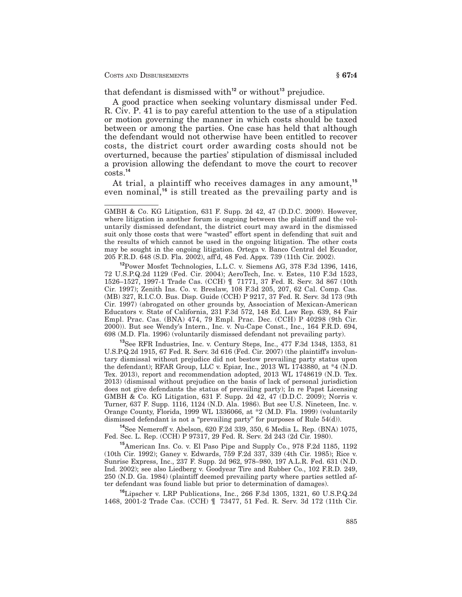that defendant is dismissed with**<sup>12</sup>** or without**<sup>13</sup>** prejudice.

A good practice when seeking voluntary dismissal under Fed. R. Civ. P. 41 is to pay careful attention to the use of a stipulation or motion governing the manner in which costs should be taxed between or among the parties. One case has held that although the defendant would not otherwise have been entitled to recover costs, the district court order awarding costs should not be overturned, because the parties' stipulation of dismissal included a provision allowing the defendant to move the court to recover costs.**<sup>14</sup>**

At trial, a plaintiff who receives damages in any amount,**<sup>15</sup>** even nominal,**<sup>16</sup>** is still treated as the prevailing party and is

**<sup>13</sup>**See RFR Industries, Inc. v. Century Steps, Inc., 477 F.3d 1348, 1353, 81 U.S.P.Q.2d 1915, 67 Fed. R. Serv. 3d 616 (Fed. Cir. 2007) (the plaintiff's involuntary dismissal without prejudice did not bestow prevailing party status upon the defendant); RFAR Group, LLC v. Epiar, Inc., 2013 WL 1743880, at \*4 (N.D. Tex. 2013), report and recommendation adopted, 2013 WL 1748619 (N.D. Tex. 2013) (dismissal without prejudice on the basis of lack of personal jurisdiction does not give defendants the status of prevailing party); In re Papst Licensing GMBH & Co. KG Litigation, 631 F. Supp. 2d 42, 47 (D.D.C. 2009); Norris v. Turner, 637 F. Supp. 1116, 1124 (N.D. Ala. 1986). But see U.S. Nineteen, Inc. v. Orange County, Florida, 1999 WL 1336066, at \*2 (M.D. Fla. 1999) (voluntarily dismissed defendant is not a "prevailing party" for purposes of Rule 54(d)).

**<sup>14</sup>**See Nemeroff v. Abelson, 620 F.2d 339, 350, 6 Media L. Rep. (BNA) 1075, Fed. Sec. L. Rep. (CCH) P 97317, 29 Fed. R. Serv. 2d 243 (2d Cir. 1980).

**<sup>15</sup>**American Ins. Co. v. El Paso Pipe and Supply Co., 978 F.2d 1185, 1192 (10th Cir. 1992); Ganey v. Edwards, 759 F.2d 337, 339 (4th Cir. 1985); Rice v. Sunrise Express, Inc., 237 F. Supp. 2d 962, 978–980, 197 A.L.R. Fed. 631 (N.D. Ind. 2002); see also Liedberg v. Goodyear Tire and Rubber Co., 102 F.R.D. 249, 250 (N.D. Ga. 1984) (plaintiff deemed prevailing party where parties settled after defendant was found liable but prior to determination of damages).

**<sup>16</sup>**Lipscher v. LRP Publications, Inc., 266 F.3d 1305, 1321, 60 U.S.P.Q.2d 1468, 2001-2 Trade Cas. (CCH) ¶ 73477, 51 Fed. R. Serv. 3d 172 (11th Cir.

GMBH & Co. KG Litigation, 631 F. Supp. 2d 42, 47 (D.D.C. 2009). However, where litigation in another forum is ongoing between the plaintiff and the voluntarily dismissed defendant, the district court may award in the dismissed suit only those costs that were "wasted" effort spent in defending that suit and the results of which cannot be used in the ongoing litigation. The other costs may be sought in the ongoing litigation. Ortega v. Banco Central del Ecuador, 205 F.R.D. 648 (S.D. Fla. 2002), aff'd, 48 Fed. Appx. 739 (11th Cir. 2002).

**<sup>12</sup>**Power Mosfet Technologies, L.L.C. v. Siemens AG, 378 F.3d 1396, 1416, 72 U.S.P.Q.2d 1129 (Fed. Cir. 2004); AeroTech, Inc. v. Estes, 110 F.3d 1523, 1526–1527, 1997-1 Trade Cas. (CCH) ¶ 71771, 37 Fed. R. Serv. 3d 867 (10th Cir. 1997); Zenith Ins. Co. v. Breslaw, 108 F.3d 205, 207, 62 Cal. Comp. Cas. (MB) 327, R.I.C.O. Bus. Disp. Guide (CCH) P 9217, 37 Fed. R. Serv. 3d 173 (9th Cir. 1997) (abrogated on other grounds by, Association of Mexican-American Educators v. State of California, 231 F.3d 572, 148 Ed. Law Rep. 639, 84 Fair Empl. Prac. Cas. (BNA) 474, 79 Empl. Prac. Dec. (CCH) P 40298 (9th Cir. 2000)). But see Wendy's Intern., Inc. v. Nu-Cape Const., Inc., 164 F.R.D. 694, 698 (M.D. Fla. 1996) (voluntarily dismissed defendant not prevailing party).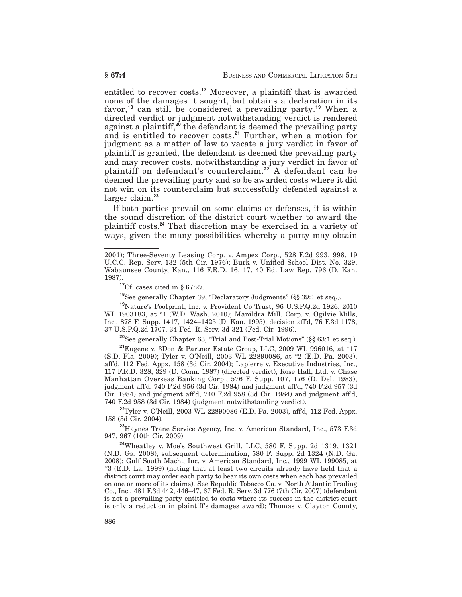entitled to recover costs.**<sup>17</sup>** Moreover, a plaintiff that is awarded none of the damages it sought, but obtains a declaration in its favor,**<sup>18</sup>** can still be considered a prevailing party.**<sup>19</sup>** When a directed verdict or judgment notwithstanding verdict is rendered against a plaintiff,**<sup>20</sup>** the defendant is deemed the prevailing party and is entitled to recover costs.**<sup>21</sup>** Further, when a motion for judgment as a matter of law to vacate a jury verdict in favor of plaintiff is granted, the defendant is deemed the prevailing party and may recover costs, notwithstanding a jury verdict in favor of plaintiff on defendant's counterclaim.**<sup>22</sup>** A defendant can be deemed the prevailing party and so be awarded costs where it did not win on its counterclaim but successfully defended against a larger claim.**<sup>23</sup>**

If both parties prevail on some claims or defenses, it is within the sound discretion of the district court whether to award the plaintiff costs.**<sup>24</sup>** That discretion may be exercised in a variety of ways, given the many possibilities whereby a party may obtain

**<sup>17</sup>**Cf. cases cited in § 67:27.

**<sup>18</sup>**See generally Chapter 39, "Declaratory Judgments" (§§ 39:1 et seq.).

**<sup>19</sup>**Nature's Footprint, Inc. v. Provident Co Trust, 96 U.S.P.Q.2d 1926, 2010 WL 1903183, at \*1 (W.D. Wash. 2010); Manildra Mill. Corp. v. Ogilvie Mills, Inc., 878 F. Supp. 1417, 1424–1425 (D. Kan. 1995), decision aff'd, 76 F.3d 1178, 37 U.S.P.Q.2d 1707, 34 Fed. R. Serv. 3d 321 (Fed. Cir. 1996).

**<sup>20</sup>**See generally Chapter 63, "Trial and Post-Trial Motions" (§§ 63:1 et seq.).

**<sup>21</sup>**Eugene v. 3Don & Partner Estate Group, LLC, 2009 WL 996016, at \*17 (S.D. Fla. 2009); Tyler v. O'Neill, 2003 WL 22890086, at \*2 (E.D. Pa. 2003), aff'd, 112 Fed. Appx. 158 (3d Cir. 2004); Lapierre v. Executive Industries, Inc., 117 F.R.D. 328, 329 (D. Conn. 1987) (directed verdict); Rose Hall, Ltd. v. Chase Manhattan Overseas Banking Corp., 576 F. Supp. 107, 176 (D. Del. 1983), judgment aff'd, 740 F.2d 956 (3d Cir. 1984) and judgment aff'd, 740 F.2d 957 (3d Cir. 1984) and judgment aff'd, 740 F.2d 958 (3d Cir. 1984) and judgment aff'd, 740 F.2d 958 (3d Cir. 1984) (judgment notwithstanding verdict).

**<sup>22</sup>**Tyler v. O'Neill, 2003 WL 22890086 (E.D. Pa. 2003), aff'd, 112 Fed. Appx. 158 (3d Cir. 2004).

**<sup>23</sup>**Haynes Trane Service Agency, Inc. v. American Standard, Inc., 573 F.3d 947, 967 (10th Cir. 2009).

**<sup>24</sup>**Wheatley v. Moe's Southwest Grill, LLC, 580 F. Supp. 2d 1319, 1321 (N.D. Ga. 2008), subsequent determination, 580 F. Supp. 2d 1324 (N.D. Ga. 2008); Gulf South Mach., Inc. v. American Standard, Inc., 1999 WL 199085, at \*3 (E.D. La. 1999) (noting that at least two circuits already have held that a district court may order each party to bear its own costs when each has prevailed on one or more of its claims). See Republic Tobacco Co. v. North Atlantic Trading Co., Inc., 481 F.3d 442, 446–47, 67 Fed. R. Serv. 3d 776 (7th Cir. 2007) (defendant is not a prevailing party entitled to costs where its success in the district court is only a reduction in plaintiff's damages award); Thomas v. Clayton County,

<sup>2001);</sup> Three-Seventy Leasing Corp. v. Ampex Corp., 528 F.2d 993, 998, 19 U.C.C. Rep. Serv. 132 (5th Cir. 1976); Burk v. Unified School Dist. No. 329, Wabaunsee County, Kan., 116 F.R.D. 16, 17, 40 Ed. Law Rep. 796 (D. Kan. 1987).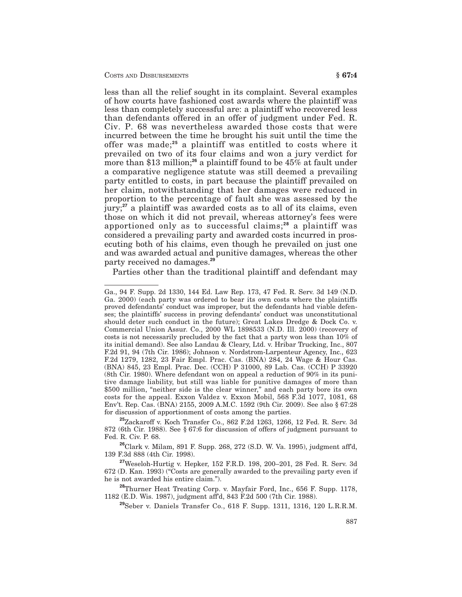less than all the relief sought in its complaint. Several examples of how courts have fashioned cost awards where the plaintiff was less than completely successful are: a plaintiff who recovered less than defendants offered in an offer of judgment under Fed. R. Civ. P. 68 was nevertheless awarded those costs that were incurred between the time he brought his suit until the time the offer was made;**<sup>25</sup>** a plaintiff was entitled to costs where it prevailed on two of its four claims and won a jury verdict for more than \$13 million;<sup>26</sup> a plaintiff found to be 45% at fault under a comparative negligence statute was still deemed a prevailing party entitled to costs, in part because the plaintiff prevailed on her claim, notwithstanding that her damages were reduced in proportion to the percentage of fault she was assessed by the jury;**<sup>27</sup>** a plaintiff was awarded costs as to all of its claims, even those on which it did not prevail, whereas attorney's fees were apportioned only as to successful claims;**<sup>28</sup>** a plaintiff was considered a prevailing party and awarded costs incurred in prosecuting both of his claims, even though he prevailed on just one and was awarded actual and punitive damages, whereas the other party received no damages.**<sup>29</sup>**

Parties other than the traditional plaintiff and defendant may

**<sup>25</sup>**Zackaroff v. Koch Transfer Co., 862 F.2d 1263, 1266, 12 Fed. R. Serv. 3d 872 (6th Cir. 1988). See § 67:6 for discussion of offers of judgment pursuant to Fed. R. Civ. P. 68.

**<sup>26</sup>**Clark v. Milam, 891 F. Supp. 268, 272 (S.D. W. Va. 1995), judgment aff'd, 139 F.3d 888 (4th Cir. 1998).

**<sup>27</sup>**Weseloh-Hurtig v. Hepker, 152 F.R.D. 198, 200–201, 28 Fed. R. Serv. 3d 672 (D. Kan. 1993) ("Costs are generally awarded to the prevailing party even if he is not awarded his entire claim.").

**<sup>28</sup>**Thurner Heat Treating Corp. v. Mayfair Ford, Inc., 656 F. Supp. 1178, 1182 (E.D. Wis. 1987), judgment aff'd, 843 F.2d 500 (7th Cir. 1988).

**<sup>29</sup>**Seber v. Daniels Transfer Co., 618 F. Supp. 1311, 1316, 120 L.R.R.M.

Ga., 94 F. Supp. 2d 1330, 144 Ed. Law Rep. 173, 47 Fed. R. Serv. 3d 149 (N.D. Ga. 2000) (each party was ordered to bear its own costs where the plaintiffs proved defendants' conduct was improper, but the defendants had viable defenses; the plaintiffs' success in proving defendants' conduct was unconstitutional should deter such conduct in the future); Great Lakes Dredge & Dock Co. v. Commercial Union Assur. Co., 2000 WL 1898533 (N.D. Ill. 2000) (recovery of costs is not necessarily precluded by the fact that a party won less than 10% of its initial demand). See also Landau & Cleary, Ltd. v. Hribar Trucking, Inc., 807 F.2d 91, 94 (7th Cir. 1986); Johnson v. Nordstrom-Larpenteur Agency, Inc., 623 F.2d 1279, 1282, 23 Fair Empl. Prac. Cas. (BNA) 284, 24 Wage & Hour Cas. (BNA) 845, 23 Empl. Prac. Dec. (CCH) P 31000, 89 Lab. Cas. (CCH) P 33920  $(8th$  Cir. 1980). Where defendant won on appeal a reduction of 90% in its punitive damage liability, but still was liable for punitive damages of more than \$500 million, "neither side is the clear winner," and each party bore its own costs for the appeal. Exxon Valdez v. Exxon Mobil, 568 F.3d 1077, 1081, 68 Env't. Rep. Cas. (BNA) 2155, 2009 A.M.C. 1592 (9th Cir. 2009). See also § 67:28 for discussion of apportionment of costs among the parties.